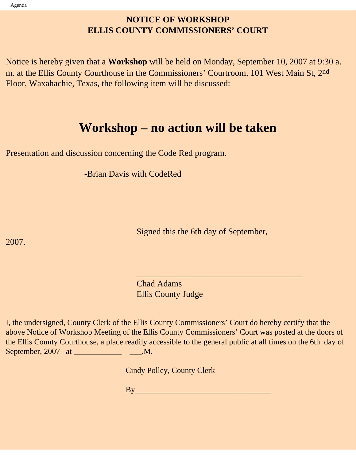## **NOTICE OF WORKSHOP ELLIS COUNTY COMMISSIONERS' COURT**

Notice is hereby given that a **Workshop** will be held on Monday, September 10, 2007 at 9:30 a. m. at the Ellis County Courthouse in the Commissioners' Courtroom, 101 West Main St, 2nd Floor, Waxahachie, Texas, the following item will be discussed:

# **Workshop – no action will be taken**

Presentation and discussion concerning the Code Red program.

-Brian Davis with CodeRed

Signed this the 6th day of September,

2007.

 Chad Adams Ellis County Judge

 $\frac{1}{\sqrt{2}}$  , and the contract of the contract of the contract of the contract of the contract of the contract of the contract of the contract of the contract of the contract of the contract of the contract of the contra

I, the undersigned, County Clerk of the Ellis County Commissioners' Court do hereby certify that the above Notice of Workshop Meeting of the Ellis County Commissioners' Court was posted at the doors of the Ellis County Courthouse, a place readily accessible to the general public at all times on the 6th day of September, 2007 at \_\_\_\_\_\_\_\_\_\_\_\_\_\_\_\_\_\_\_\_\_\_\_\_\_\_\_\_.M.

Cindy Polley, County Clerk

 $\mathbf{B} \mathbf{y}$  and  $\mathbf{y}$  and  $\mathbf{y}$  are the set of  $\mathbf{y}$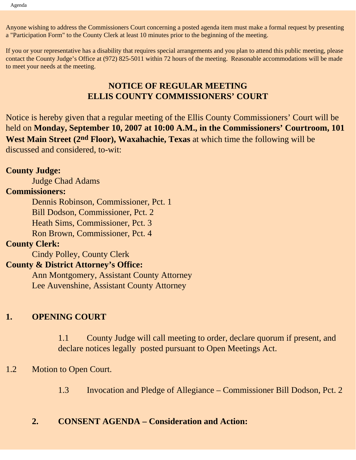Anyone wishing to address the Commissioners Court concerning a posted agenda item must make a formal request by presenting a "Participation Form" to the County Clerk at least 10 minutes prior to the beginning of the meeting.

If you or your representative has a disability that requires special arrangements and you plan to attend this public meeting, please contact the County Judge's Office at (972) 825-5011 within 72 hours of the meeting. Reasonable accommodations will be made to meet your needs at the meeting.

### **NOTICE OF REGULAR MEETING ELLIS COUNTY COMMISSIONERS' COURT**

Notice is hereby given that a regular meeting of the Ellis County Commissioners' Court will be held on **Monday, September 10, 2007 at 10:00 A.M., in the Commissioners' Courtroom, 101 West Main Street (2nd Floor), Waxahachie, Texas** at which time the following will be discussed and considered, to-wit:

### **County Judge:**

Judge Chad Adams

### **Commissioners:**

 Dennis Robinson, Commissioner, Pct. 1 Bill Dodson, Commissioner, Pct. 2 Heath Sims, Commissioner, Pct. 3 Ron Brown, Commissioner, Pct. 4

### **County Clerk:**

Cindy Polley, County Clerk

### **County & District Attorney's Office:**

 Ann Montgomery, Assistant County Attorney Lee Auvenshine, Assistant County Attorney

## **1. OPENING COURT**

1.1 County Judge will call meeting to order, declare quorum if present, and declare notices legally posted pursuant to Open Meetings Act.

### 1.2 Motion to Open Court.

1.3 Invocation and Pledge of Allegiance – Commissioner Bill Dodson, Pct. 2

### **2. CONSENT AGENDA – Consideration and Action:**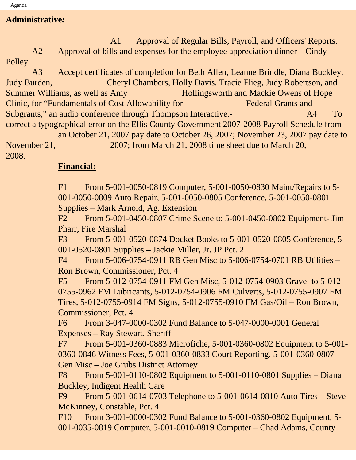**Administrative***:*

 A1 Approval of Regular Bills, Payroll, and Officers' Reports. A2 Approval of bills and expenses for the employee appreciation dinner – Cindy

Polley

 A3 Accept certificates of completion for Beth Allen, Leanne Brindle, Diana Buckley, Judy Burden, Cheryl Chambers, Holly Davis, Tracie Flieg, Judy Robertson, and Summer Williams, as well as Amy Hollingsworth and Mackie Owens of Hope Clinic, for "Fundamentals of Cost Allowability for Federal Grants and Subgrants," an audio conference through Thompson Interactive.- A4 To correct a typographical error on the Ellis County Government 2007-2008 Payroll Schedule from an October 21, 2007 pay date to October 26, 2007; November 23, 2007 pay date to

November 21, 2007; from March 21, 2008 time sheet due to March 20, 2008.

### **Financial:**

F1 From 5-001-0050-0819 Computer, 5-001-0050-0830 Maint/Repairs to 5- 001-0050-0809 Auto Repair, 5-001-0050-0805 Conference, 5-001-0050-0801 Supplies – Mark Arnold, Ag. Extension

F2 From 5-001-0450-0807 Crime Scene to 5-001-0450-0802 Equipment- Jim Pharr, Fire Marshal

F3 From 5-001-0520-0874 Docket Books to 5-001-0520-0805 Conference, 5- 001-0520-0801 Supplies – Jackie Miller, Jr. JP Pct. 2

F4 From 5-006-0754-0911 RB Gen Misc to 5-006-0754-0701 RB Utilities – Ron Brown, Commissioner, Pct. 4

F5 From 5-012-0754-0911 FM Gen Misc, 5-012-0754-0903 Gravel to 5-012- 0755-0962 FM Lubricants, 5-012-0754-0906 FM Culverts, 5-012-0755-0907 FM Tires, 5-012-0755-0914 FM Signs, 5-012-0755-0910 FM Gas/Oil – Ron Brown, Commissioner, Pct. 4

F6 From 3-047-0000-0302 Fund Balance to 5-047-0000-0001 General Expenses – Ray Stewart, Sheriff

F7 From 5-001-0360-0883 Microfiche, 5-001-0360-0802 Equipment to 5-001- 0360-0846 Witness Fees, 5-001-0360-0833 Court Reporting, 5-001-0360-0807 Gen Misc – Joe Grubs District Attorney

F8 From 5-001-0110-0802 Equipment to 5-001-0110-0801 Supplies – Diana Buckley, Indigent Health Care

F9 From 5-001-0614-0703 Telephone to 5-001-0614-0810 Auto Tires – Steve McKinney, Constable, Pct. 4

F10 From 3-001-0000-0302 Fund Balance to 5-001-0360-0802 Equipment, 5- 001-0035-0819 Computer, 5-001-0010-0819 Computer – Chad Adams, County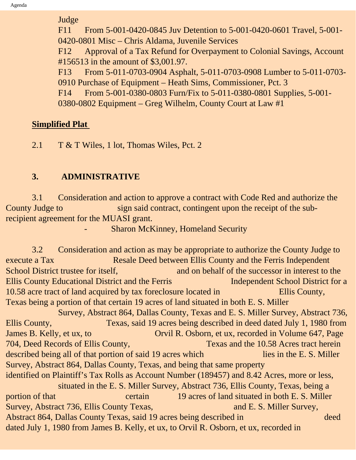Judge

F11 From 5-001-0420-0845 Juv Detention to 5-001-0420-0601 Travel, 5-001- 0420-0801 Misc – Chris Aldama, Juvenile Services

F12 Approval of a Tax Refund for Overpayment to Colonial Savings, Account #156513 in the amount of \$3,001.97.

F13 From 5-011-0703-0904 Asphalt, 5-011-0703-0908 Lumber to 5-011-0703- 0910 Purchase of Equipment – Heath Sims, Commissioner, Pct. 3

F14 From 5-001-0380-0803 Furn/Fix to 5-011-0380-0801 Supplies, 5-001-

0380-0802 Equipment – Greg Wilhelm, County Court at Law #1

## **Simplified Plat**

2.1 T & T Wiles, 1 lot, Thomas Wiles, Pct. 2

## **3. ADMINISTRATIVE**

 3.1 Consideration and action to approve a contract with Code Red and authorize the County Judge to sign said contract, contingent upon the receipt of the subrecipient agreement for the MUASI grant.

Sharon McKinney, Homeland Security

 3.2 Consideration and action as may be appropriate to authorize the County Judge to execute a Tax Resale Deed between Ellis County and the Ferris Independent School District trustee for itself, and on behalf of the successor in interest to the Ellis County Educational District and the Ferris Independent School District for a 10.58 acre tract of land acquired by tax foreclosure located in Ellis County, Texas being a portion of that certain 19 acres of land situated in both E. S. Miller Survey, Abstract 864, Dallas County, Texas and E. S. Miller Survey, Abstract 736, Ellis County, Texas, said 19 acres being described in deed dated July 1, 1980 from James B. Kelly, et ux, to Orvil R. Osborn, et ux, recorded in Volume 647, Page 704, Deed Records of Ellis County, Texas and the 10.58 Acres tract herein described being all of that portion of said 19 acres which lies in the E. S. Miller Survey, Abstract 864, Dallas County, Texas, and being that same property identified on Plaintiff's Tax Rolls as Account Number (189457) and 8.42 Acres, more or less, situated in the E. S. Miller Survey, Abstract 736, Ellis County, Texas, being a portion of that certain 19 acres of land situated in both E. S. Miller Survey, Abstract 736, Ellis County Texas, and E. S. Miller Survey, Abstract 864, Dallas County Texas, said 19 acres being described in deed dated July 1, 1980 from James B. Kelly, et ux, to Orvil R. Osborn, et ux, recorded in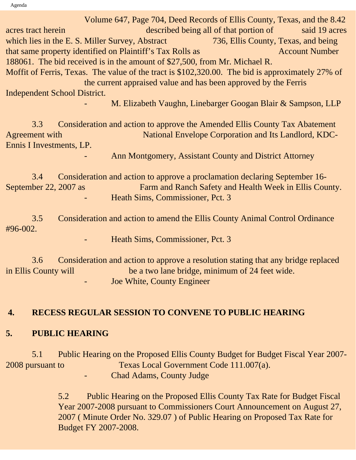Agenda

 Volume 647, Page 704, Deed Records of Ellis County, Texas, and the 8.42 acres tract herein described being all of that portion of said 19 acres which lies in the E. S. Miller Survey, Abstract 736, Ellis County, Texas, and being that same property identified on Plaintiff's Tax Rolls as Account Number 188061. The bid received is in the amount of \$27,500, from Mr. Michael R. Moffit of Ferris, Texas. The value of the tract is \$102,320.00. The bid is approximately 27% of the current appraised value and has been approved by the Ferris Independent School District. M. Elizabeth Vaughn, Linebarger Googan Blair & Sampson, LLP

 3.3 Consideration and action to approve the Amended Ellis County Tax Abatement Agreement with National Envelope Corporation and Its Landlord, KDC-Ennis I Investments, LP.

Ann Montgomery, Assistant County and District Attorney

 3.4 Consideration and action to approve a proclamation declaring September 16- September 22, 2007 as Farm and Ranch Safety and Health Week in Ellis County. - Heath Sims, Commissioner, Pct. 3

 3.5 Consideration and action to amend the Ellis County Animal Control Ordinance #96-002.

Heath Sims, Commissioner, Pct. 3

 3.6 Consideration and action to approve a resolution stating that any bridge replaced in Ellis County will be a two lane bridge, minimum of 24 feet wide. Joe White, County Engineer

## **4. RECESS REGULAR SESSION TO CONVENE TO PUBLIC HEARING**

### **5. PUBLIC HEARING**

5.1 Public Hearing on the Proposed Ellis County Budget for Budget Fiscal Year 2007- 2008 pursuant to Texas Local Government Code 111.007(a). Chad Adams, County Judge

> 5.2 Public Hearing on the Proposed Ellis County Tax Rate for Budget Fiscal Year 2007-2008 pursuant to Commissioners Court Announcement on August 27, 2007 ( Minute Order No. 329.07 ) of Public Hearing on Proposed Tax Rate for Budget FY 2007-2008.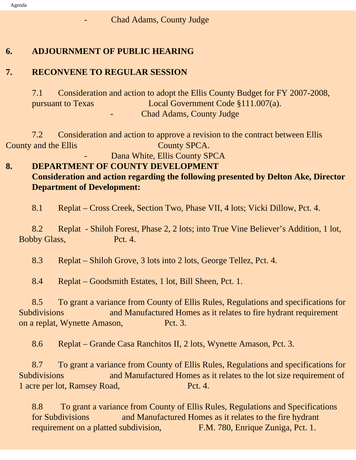### Chad Adams, County Judge

### **6. ADJOURNMENT OF PUBLIC HEARING**

## **7. RECONVENE TO REGULAR SESSION**

7.1 Consideration and action to adopt the Ellis County Budget for FY 2007-2008, pursuant to Texas Local Government Code §111.007(a). Chad Adams, County Judge

7.2Consideration and action to approve a revision to the contract between Ellis County and the Ellis County SPCA.

Dana White, Ellis County SPCA

## **8. DEPARTMENT OF COUNTY DEVELOPMENT Consideration and action regarding the following presented by Delton Ake, Director Department of Development:**

8.1 Replat – Cross Creek, Section Two, Phase VII, 4 lots; Vicki Dillow, Pct. 4.

 8.2 Replat - Shiloh Forest, Phase 2, 2 lots; into True Vine Believer's Addition, 1 lot, Bobby Glass, Pct. 4.

8.3 Replat – Shiloh Grove, 3 lots into 2 lots, George Tellez, Pct. 4.

8.4 Replat – Goodsmith Estates, 1 lot, Bill Sheen, Pct. 1.

 8.5 To grant a variance from County of Ellis Rules, Regulations and specifications for Subdivisions and Manufactured Homes as it relates to fire hydrant requirement on a replat, Wynette Amason, Pct. 3.

8.6 Replat – Grande Casa Ranchitos II, 2 lots, Wynette Amason, Pct. 3.

 8.7 To grant a variance from County of Ellis Rules, Regulations and specifications for Subdivisions and Manufactured Homes as it relates to the lot size requirement of 1 acre per lot, Ramsey Road, Pct. 4.

8.8 To grant a variance from County of Ellis Rules, Regulations and Specifications for Subdivisions and Manufactured Homes as it relates to the fire hydrant requirement on a platted subdivision, F.M. 780, Enrique Zuniga, Pct. 1.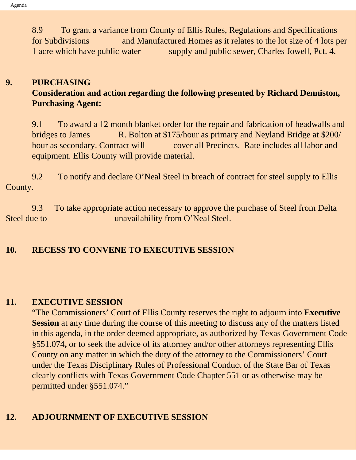8.9 To grant a variance from County of Ellis Rules, Regulations and Specifications for Subdivisions and Manufactured Homes as it relates to the lot size of 4 lots per 1 acre which have public water supply and public sewer, Charles Jowell, Pct. 4.

## **9. PURCHASING**

## **Consideration and action regarding the following presented by Richard Denniston, Purchasing Agent:**

9.1To award a 12 month blanket order for the repair and fabrication of headwalls and bridges to James R. Bolton at \$175/hour as primary and Neyland Bridge at \$200/ hour as secondary. Contract will cover all Precincts. Rate includes all labor and equipment. Ellis County will provide material.

9.2 To notify and declare O'Neal Steel in breach of contract for steel supply to Ellis County.

 9.3 To take appropriate action necessary to approve the purchase of Steel from Delta Steel due to **unavailability** from O'Neal Steel.

## **10. RECESS TO CONVENE TO EXECUTIVE SESSION**

### **11. EXECUTIVE SESSION**

"The Commissioners' Court of Ellis County reserves the right to adjourn into **Executive Session** at any time during the course of this meeting to discuss any of the matters listed in this agenda, in the order deemed appropriate, as authorized by Texas Government Code §551.074**,** or to seek the advice of its attorney and/or other attorneys representing Ellis County on any matter in which the duty of the attorney to the Commissioners' Court under the Texas Disciplinary Rules of Professional Conduct of the State Bar of Texas clearly conflicts with Texas Government Code Chapter 551 or as otherwise may be permitted under §551.074."

### **12. ADJOURNMENT OF EXECUTIVE SESSION**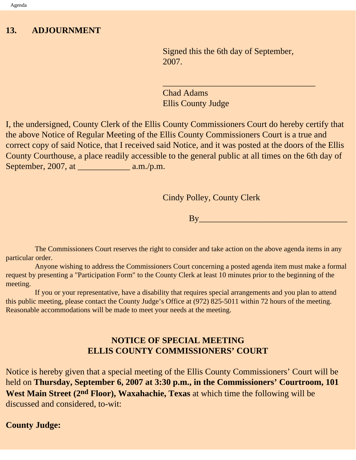### **13. ADJOURNMENT**

Signed this the 6th day of September, 2007.

 $\overline{\phantom{a}}$  , and the set of the set of the set of the set of the set of the set of the set of the set of the set of the set of the set of the set of the set of the set of the set of the set of the set of the set of the s

Chad Adams Ellis County Judge

I, the undersigned, County Clerk of the Ellis County Commissioners Court do hereby certify that the above Notice of Regular Meeting of the Ellis County Commissioners Court is a true and correct copy of said Notice, that I received said Notice, and it was posted at the doors of the Ellis County Courthouse, a place readily accessible to the general public at all times on the 6th day of September, 2007, at \_\_\_\_\_\_\_\_\_\_\_\_ a.m./p.m.

Cindy Polley, County Clerk

 $Bv$  and  $v$  and  $v$  and  $v$  and  $v$  and  $v$ 

 The Commissioners Court reserves the right to consider and take action on the above agenda items in any particular order.

 Anyone wishing to address the Commissioners Court concerning a posted agenda item must make a formal request by presenting a "Participation Form" to the County Clerk at least 10 minutes prior to the beginning of the meeting.

 If you or your representative, have a disability that requires special arrangements and you plan to attend this public meeting, please contact the County Judge's Office at (972) 825-5011 within 72 hours of the meeting. Reasonable accommodations will be made to meet your needs at the meeting.

## **NOTICE OF SPECIAL MEETING ELLIS COUNTY COMMISSIONERS' COURT**

Notice is hereby given that a special meeting of the Ellis County Commissioners' Court will be held on **Thursday, September 6, 2007 at 3:30 p.m., in the Commissioners' Courtroom, 101 West Main Street (2nd Floor), Waxahachie, Texas** at which time the following will be discussed and considered, to-wit:

### **County Judge:**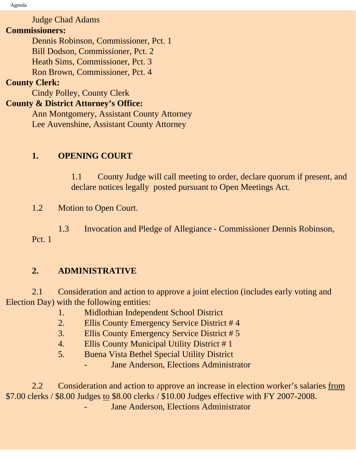Agenda

Judge Chad Adams

### **Commissioners:**

 Dennis Robinson, Commissioner, Pct. 1 Bill Dodson, Commissioner, Pct. 2 Heath Sims, Commissioner, Pct. 3 Ron Brown, Commissioner, Pct. 4

## **County Clerk:**

Cindy Polley, County Clerk

## **County & District Attorney's Office:**

 Ann Montgomery, Assistant County Attorney Lee Auvenshine, Assistant County Attorney

## **1. OPENING COURT**

1.1 County Judge will call meeting to order, declare quorum if present, and declare notices legally posted pursuant to Open Meetings Act.

1.2 Motion to Open Court.

 1.3 Invocation and Pledge of Allegiance - Commissioner Dennis Robinson, Pct. 1

## **2. ADMINISTRATIVE**

 2.1 Consideration and action to approve a joint election (includes early voting and Election Day) with the following entities:

- 1. Midlothian Independent School District
- 2. Ellis County Emergency Service District # 4
- 3. Ellis County Emergency Service District # 5
- 4. Ellis County Municipal Utility District # 1
- 5. Buena Vista Bethel Special Utility District
	- Jane Anderson, Elections Administrator

 2.2 Consideration and action to approve an increase in election worker's salaries from \$7.00 clerks / \$8.00 Judges to \$8.00 clerks / \$10.00 Judges effective with FY 2007-2008.

Jane Anderson, Elections Administrator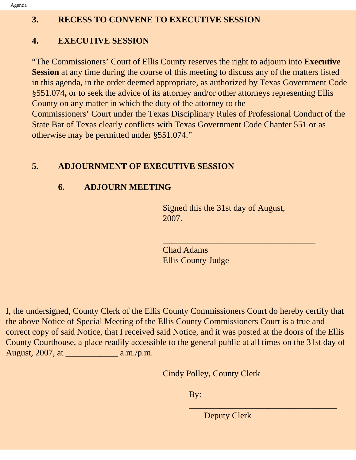## **3. RECESS TO CONVENE TO EXECUTIVE SESSION**

## **4. EXECUTIVE SESSION**

"The Commissioners' Court of Ellis County reserves the right to adjourn into **Executive Session** at any time during the course of this meeting to discuss any of the matters listed in this agenda, in the order deemed appropriate, as authorized by Texas Government Code §551.074**,** or to seek the advice of its attorney and/or other attorneys representing Ellis County on any matter in which the duty of the attorney to the Commissioners' Court under the Texas Disciplinary Rules of Professional Conduct of the State Bar of Texas clearly conflicts with Texas Government Code Chapter 551 or as otherwise may be permitted under §551.074."

## **5. ADJOURNMENT OF EXECUTIVE SESSION**

## **6. ADJOURN MEETING**

Signed this the 31st day of August, 2007.

\_\_\_\_\_\_\_\_\_\_\_\_\_\_\_\_\_\_\_\_\_\_\_\_\_\_\_\_\_\_\_\_\_\_\_

Chad Adams Ellis County Judge

I, the undersigned, County Clerk of the Ellis County Commissioners Court do hereby certify that the above Notice of Special Meeting of the Ellis County Commissioners Court is a true and correct copy of said Notice, that I received said Notice, and it was posted at the doors of the Ellis County Courthouse, a place readily accessible to the general public at all times on the 31st day of August, 2007, at \_\_\_\_\_\_\_\_\_\_\_\_ a.m./p.m.

Cindy Polley, County Clerk

By:

Deputy Clerk

\_\_\_\_\_\_\_\_\_\_\_\_\_\_\_\_\_\_\_\_\_\_\_\_\_\_\_\_\_\_\_\_\_\_